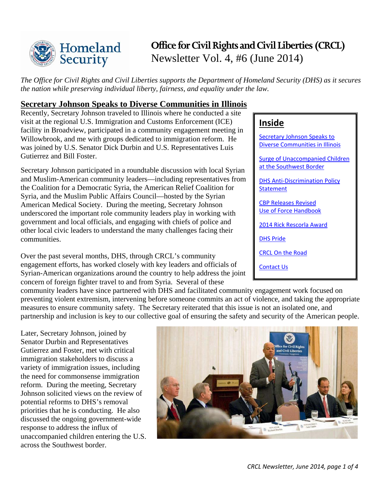

# **Office for Civil Rights and Civil Liberties (CRCL)** Newsletter Vol. 4, #6 (June 2014)

*The Office for Civil Rights and Civil Liberties supports the Department of Homeland Security (DHS) as it secures the nation while preserving individual liberty, fairness, and equality under the law.*

### <span id="page-0-0"></span>**Secretary Johnson Speaks to Diverse Communities in Illinois**

Recently, Secretary Johnson traveled to Illinois where he conducted a site visit at the regional U.S. Immigration and Customs Enforcement (ICE) facility in Broadview, participated in a community engagement meeting in Willowbrook, and me with groups dedicated to immigration reform. He was joined by U.S. Senator Dick Durbin and U.S. Representatives Luis Gutierrez and Bill Foster.

Secretary Johnson participated in a roundtable discussion with local Syrian and Muslim-American community leaders—including representatives from the Coalition for a Democratic Syria, the American Relief Coalition for Syria, and the Muslim Public Affairs Council—hosted by the Syrian American Medical Society. During the meeting, Secretary Johnson underscored the important role community leaders play in working with government and local officials, and engaging with chiefs of police and other local civic leaders to understand the many challenges facing their communities.

Over the past several months, DHS, through CRCL's community engagement efforts, has worked closely with key leaders and officials of Syrian-American organizations around the country to help address the joint concern of foreign fighter travel to and from Syria. Several of these

### **Inside**

[Secretary Johnson Speaks](#page-0-0) to [Diverse Communities in Illinois](#page-0-0)  [Surge of Unaccompanied Children](#page-1-0)  [at the Southwest Border](#page-1-0) [DHS Anti-Discrimination Policy](#page-1-1)  **[Statement](#page-1-1)** [CBP Releases Revised](#page-1-2) [Use of Force Handbook](#page-1-2) [2014 Rick Rescorla Award](#page-2-0) [DHS Pride](#page-2-1) [CRCL On the Road](#page-2-2) [Contact Us](#page-3-0)

community leaders have since partnered with DHS and facilitated community engagement work focused on preventing violent extremism, intervening before someone commits an act of violence, and taking the appropriate measures to ensure community safety. The Secretary reiterated that this issue is not an isolated one, and partnership and inclusion is key to our collective goal of ensuring the safety and security of the American people.

Later, Secretary Johnson, joined by Senator Durbin and Representatives Gutierrez and Foster, met with critical immigration stakeholders to discuss a variety of immigration issues, including the need for commonsense immigration reform. During the meeting, Secretary Johnson solicited views on the review of potential reforms to DHS's removal priorities that he is conducting. He also discussed the ongoing government-wide response to address the influx of unaccompanied children entering the U.S. across the Southwest border.

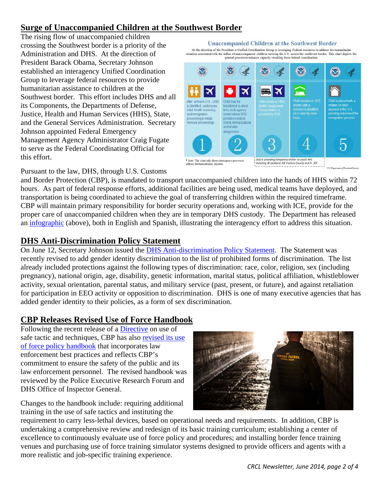# <span id="page-1-0"></span>**Surge of Unaccompanied Children at the Southwest Border**

The rising flow of unaccompanied children crossing the Southwest border is a priority of the Administration and DHS. At the direction of President Barack Obama, Secretary Johnson established an interagency Unified Coordination Group to leverage federal resources to provide humanitarian assistance to children at the Southwest border. This effort includes DHS and all its Components, the Departments of Defense, Justice, Health and Human Services (HHS), State, and the General Services Administration. Secretary Johnson appointed Federal Emergency Management Agency Administrator Craig Fugate to serve as the Federal Coordinating Official for this effort.



Pursuant to the law, DHS, through U.S. Customs

and Border Protection (CBP), is mandated to transport unaccompanied children into the hands of HHS within 72 hours. As part of federal response efforts, additional facilities are being used, medical teams have deployed, and transportation is being coordinated to achieve the goal of transferring children within the required timeframe. CBP will maintain primary responsibility for border security operations and, working with ICE, provide for the proper care of unaccompanied children when they are in temporary DHS custody. The Department has released an [infographic](http://www.dhs.gov/unaccompanied-children-southwest-border) (above), both in English and Spanish, illustrating the interagency effort to address this situation.

### <span id="page-1-1"></span>**DHS Anti-Discrimination Policy Statement**

On June 12, Secretary Johnson issued the [DHS Anti-discrimination Policy Statement.](http://www.dhs.gov/sites/default/files/publications/revised-antidiscrimination-policy-statement_06-12-2014.pdf) The Statement was recently revised to add gender identity discrimination to the list of prohibited forms of discrimination. The list already included protections against the following types of discrimination: race, color, religion, sex (including pregnancy), national origin, age, disability, genetic information, marital status, political affiliation, whistleblower activity, sexual orientation, parental status, and military service (past, present, or future), and against retaliation for participation in EEO activity or opposition to discrimination. DHS is one of many executive agencies that has added gender identity to their policies, as a form of sex discrimination.

### <span id="page-1-2"></span>**CBP Releases Revised Use of Force Handbook**

Following the recent release of a [Directive](http://www.cbp.gov/sites/default/files/documents/Use%20of%20Safe%20Tactics%20and%20Techniques.pdf) on use of safe tactic and techniques, CBP has also [revised its use](http://www.cbp.gov/sites/default/files/documents/UseofForcePolicyHandbook.pdf)  [of force policy handbook](http://www.cbp.gov/sites/default/files/documents/UseofForcePolicyHandbook.pdf) that incorporates law enforcement best practices and reflects CBP's commitment to ensure the safety of the public and its law enforcement personnel. The revised handbook was reviewed by the Police Executive Research Forum and DHS Office of Inspector General.

Changes to the handbook include: requiring additional training in the use of safe tactics and instituting the



requirement to carry less-lethal devices, based on operational needs and requirements. In addition, CBP is undertaking a comprehensive review and redesign of its basic training curriculum; establishing a center of excellence to continuously evaluate use of force policy and procedures; and installing border fence training venues and purchasing use of force training simulator systems designed to provide officers and agents with a more realistic and job-specific training experience.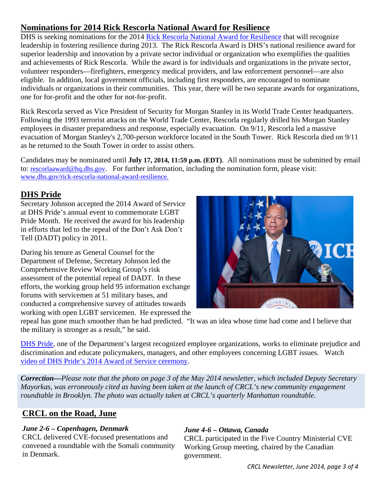## <span id="page-2-0"></span>**Nominations for 2014 Rick Rescorla National Award for Resilience**

DHS is seeking nominations for the 2014 [Rick Rescorla National Award for Resilience](http://www.dhs.gov/rick-rescorla-national-award-resilience) that will recognize leadership in fostering resilience during 2013. The Rick Rescorla Award is DHS's national resilience award for superior leadership and innovation by a private sector individual or organization who exemplifies the qualities and achievements of Rick Rescorla. While the award is for individuals and organizations in the private sector, volunteer responders—firefighters, emergency medical providers, and law enforcement personnel—are also eligible. In addition, local government officials, including first responders, are encouraged to nominate individuals or organizations in their communities. This year, there will be two separate awards for organizations, one for for-profit and the other for not-for-profit.

Rick Rescorla served as Vice President of Security for Morgan Stanley in its World Trade Center headquarters. Following the 1993 terrorist attacks on the World Trade Center, Rescorla regularly drilled his Morgan Stanley employees in disaster preparedness and response, especially evacuation. On 9/11, Rescorla led a massive evacuation of Morgan Stanley's 2,700-person workforce located in the South Tower. Rick Rescorla died on 9/11 as he returned to the South Tower in order to assist others.

Candidates may be nominated until **July 17, 2014, 11:59 p.m. (EDT)**. All nominations must be submitted by email to: [rescorlaaward@hq.dhs.gov.](mailto:rescorlaaward@hq.dhs.gov) For further information, including the nomination form, please visit: [www.dhs.gov/rick-rescorla-national-award-resilience.](http://www.dhs.gov/rick-rescorla-national-award-resilience)

### <span id="page-2-1"></span>**DHS Pride**

Secretary Johnson accepted the 2014 Award of Service at DHS Pride's annual event to commemorate LGBT Pride Month. He received the award for his leadership in efforts that led to the repeal of the Don't Ask Don't Tell (DADT) policy in 2011.

During his tenure as General Counsel for the Department of Defense, Secretary Johnson led the Comprehensive Review Working Group's risk assessment of the potential repeal of DADT. In these efforts, the working group held 95 information exchange forums with servicemen at 51 military bases, and conducted a comprehensive survey of attitudes towards working with open LGBT servicemen. He expressed the



repeal has gone much smoother than he had predicted. "It was an idea whose time had come and I believe that the military is stronger as a result," he said.

[DHS Pride,](http://dhspride.org/) one of the Department's largest recognized employee organizations, works to eliminate prejudice and discrimination and educate policymakers, managers, and other employees concerning LGBT issues. Watch video of DHS Pride's [2014 Award of Service ceremony.](https://www.youtube.com/watch?v=fROVFCR1dpg)

*Correction—Please note that the photo on page 3 of the May 2014 newsletter, which included Deputy Secretary Mayorkas, was erroneously cited as having been taken at the launch of CRCL's new community engagement roundtable in Brooklyn. The photo was actually taken at CRCL's quarterly Manhattan roundtable.*

# <span id="page-2-2"></span>**CRCL on the Road, June**

### *June 2-6 – Copenhagen, Denmark*

CRCL delivered CVE-focused presentations and convened a roundtable with the Somali community in Denmark.

### *June 4-6 – Ottawa, Canada*

CRCL participated in the Five Country Ministerial CVE Working Group meeting, chaired by the Canadian government.